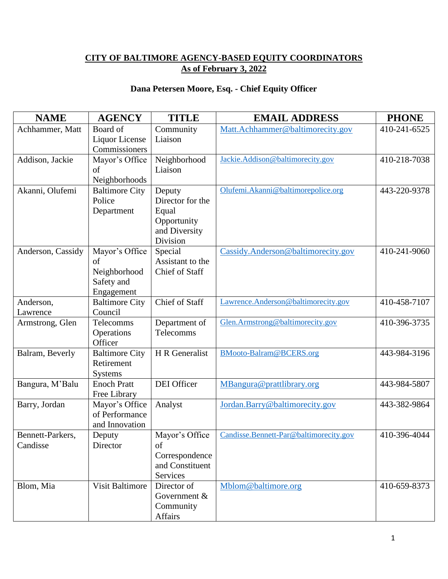## **CITY OF BALTIMORE AGENCY-BASED EQUITY COORDINATORS As of February 3, 2022**

## **Dana Petersen Moore, Esq. - Chief Equity Officer**

| <b>NAME</b>                  | <b>AGENCY</b>                                                    | <b>TITLE</b>                                                                    | <b>EMAIL ADDRESS</b>                   | <b>PHONE</b> |
|------------------------------|------------------------------------------------------------------|---------------------------------------------------------------------------------|----------------------------------------|--------------|
| Achhammer, Matt              | Board of<br>Liquor License<br>Commissioners                      | Community<br>Liaison                                                            | Matt.Achhammer@baltimorecity.gov       | 410-241-6525 |
| Addison, Jackie              | Mayor's Office<br>of<br>Neighborhoods                            | Neighborhood<br>Liaison                                                         | Jackie.Addison@baltimorecity.gov       | 410-218-7038 |
| Akanni, Olufemi              | <b>Baltimore City</b><br>Police<br>Department                    | Deputy<br>Director for the<br>Equal<br>Opportunity<br>and Diversity<br>Division | Olufemi.Akanni@baltimorepolice.org     | 443-220-9378 |
| Anderson, Cassidy            | Mayor's Office<br>of<br>Neighborhood<br>Safety and<br>Engagement | Special<br>Assistant to the<br>Chief of Staff                                   | Cassidy.Anderson@baltimorecity.gov     | 410-241-9060 |
| Anderson,<br>Lawrence        | <b>Baltimore City</b><br>Council                                 | <b>Chief of Staff</b>                                                           | Lawrence.Anderson@baltimorecity.gov    | 410-458-7107 |
| Armstrong, Glen              | Telecomms<br>Operations<br>Officer                               | Department of<br>Telecomms                                                      | Glen.Armstrong@baltimorecity.gov       | 410-396-3735 |
| Balram, Beverly              | <b>Baltimore City</b><br>Retirement<br><b>Systems</b>            | H R Generalist                                                                  | <b>BMooto-Balram@BCERS.org</b>         | 443-984-3196 |
| Bangura, M'Balu              | <b>Enoch Pratt</b><br>Free Library                               | DEI Officer                                                                     | MBangura@prattlibrary.org              | 443-984-5807 |
| Barry, Jordan                | Mayor's Office<br>of Performance<br>and Innovation               | Analyst                                                                         | Jordan.Barry@baltimorecity.gov         | 443-382-9864 |
| Bennett-Parkers,<br>Candisse | Deputy<br>Director                                               | Mayor's Office<br>of<br>Correspondence<br>and Constituent<br>Services           | Candisse.Bennett-Par@baltimorecity.gov | 410-396-4044 |
| Blom, Mia                    | <b>Visit Baltimore</b>                                           | Director of<br>Government &<br>Community<br>Affairs                             | Mblom@baltimore.org                    | 410-659-8373 |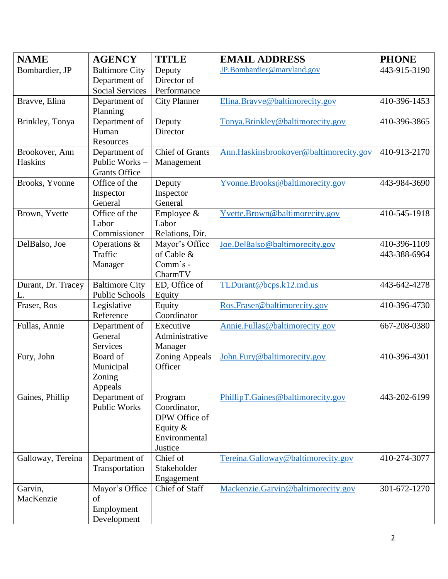| <b>NAME</b>        | <b>AGENCY</b>                        | <b>TITLE</b>            | <b>EMAIL ADDRESS</b>                   | <b>PHONE</b> |
|--------------------|--------------------------------------|-------------------------|----------------------------------------|--------------|
| Bombardier, JP     | <b>Baltimore City</b>                | Deputy                  | JP.Bombardier@maryland.gov             | 443-915-3190 |
|                    | Department of                        | Director of             |                                        |              |
|                    | <b>Social Services</b>               | Performance             |                                        |              |
| Bravve, Elina      | Department of                        | <b>City Planner</b>     | Elina.Bravve@baltimorecity.gov         | 410-396-1453 |
|                    | Planning                             |                         |                                        |              |
| Brinkley, Tonya    | Department of                        | Deputy                  | Tonya.Brinkley@baltimorecity.gov       | 410-396-3865 |
|                    | Human                                | Director                |                                        |              |
|                    | Resources                            |                         |                                        |              |
| Brookover, Ann     | Department of                        | <b>Chief of Grants</b>  | Ann.Haskinsbrookover@baltimorecity.gov | 410-913-2170 |
| Haskins            | Public Works-                        | Management              |                                        |              |
|                    | <b>Grants Office</b>                 |                         |                                        |              |
| Brooks, Yvonne     | Office of the                        | Deputy                  | Yvonne.Brooks@baltimorecity.gov        | 443-984-3690 |
|                    | Inspector<br>General                 | Inspector<br>General    |                                        |              |
| Brown, Yvette      | Office of the                        | Employee $\&$           | Yvette.Brown@baltimorecity.gov         | 410-545-1918 |
|                    | Labor                                | Labor                   |                                        |              |
|                    | Commissioner                         | Relations, Dir.         |                                        |              |
| DelBalso, Joe      | Operations &                         | Mayor's Office          | Joe.DelBalso@baltimorecity.gov         | 410-396-1109 |
|                    | Traffic                              | of Cable &              |                                        | 443-388-6964 |
|                    | Manager                              | Comm's -                |                                        |              |
|                    |                                      | CharmTV                 |                                        |              |
| Durant, Dr. Tracey | <b>Baltimore City</b>                | ED, Office of           | TLDurant@bcps.k12.md.us                | 443-642-4278 |
| L.                 | <b>Public Schools</b>                | Equity                  |                                        |              |
| Fraser, Ros        | Legislative                          | Equity                  | Ros.Fraser@baltimorecity.gov           | 410-396-4730 |
|                    | Reference                            | Coordinator             |                                        |              |
| Fullas, Annie      | Department of                        | Executive               | Annie.Fullas@baltimorecity.gov         | 667-208-0380 |
|                    | General                              | Administrative          |                                        |              |
|                    | Services                             | Manager                 |                                        |              |
| Fury, John         | Board of                             | <b>Zoning Appeals</b>   | John.Fury@baltimorecity.gov            | 410-396-4301 |
|                    | Municipal                            | Officer                 |                                        |              |
|                    | Zoning                               |                         |                                        |              |
|                    | Appeals                              |                         |                                        |              |
| Gaines, Phillip    | Department of<br><b>Public Works</b> | Program<br>Coordinator, | PhillipT.Gaines@baltimorecity.gov      | 443-202-6199 |
|                    |                                      | DPW Office of           |                                        |              |
|                    |                                      | Equity $&$              |                                        |              |
|                    |                                      | Environmental           |                                        |              |
|                    |                                      | Justice                 |                                        |              |
| Galloway, Tereina  | Department of                        | Chief of                | Tereina.Galloway@baltimorecity.gov     | 410-274-3077 |
|                    | Transportation                       | Stakeholder             |                                        |              |
|                    |                                      | Engagement              |                                        |              |
| Garvin,            | Mayor's Office                       | Chief of Staff          | Mackenzie.Garvin@baltimorecity.gov     | 301-672-1270 |
| MacKenzie          | of                                   |                         |                                        |              |
|                    | Employment                           |                         |                                        |              |
|                    | Development                          |                         |                                        |              |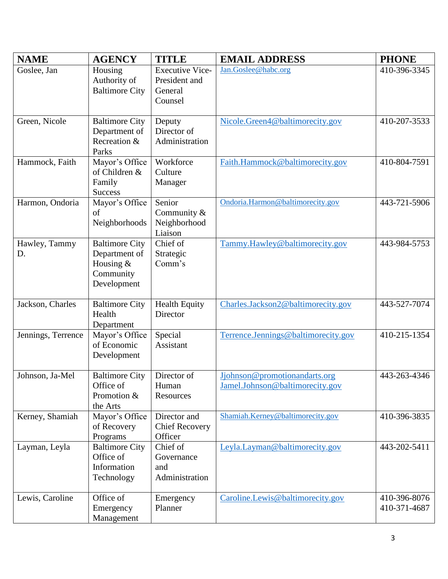| <b>NAME</b>         | <b>AGENCY</b>                                                                   | <b>TITLE</b>                                                  | <b>EMAIL ADDRESS</b>                                             | <b>PHONE</b>                 |
|---------------------|---------------------------------------------------------------------------------|---------------------------------------------------------------|------------------------------------------------------------------|------------------------------|
| Goslee, Jan         | Housing<br>Authority of<br><b>Baltimore City</b>                                | <b>Executive Vice-</b><br>President and<br>General<br>Counsel | Jan.Goslee@habc.org                                              | 410-396-3345                 |
| Green, Nicole       | <b>Baltimore City</b><br>Department of<br>Recreation &<br>Parks                 | Deputy<br>Director of<br>Administration                       | Nicole.Green4@baltimorecity.gov                                  | 410-207-3533                 |
| Hammock, Faith      | Mayor's Office<br>of Children &<br>Family<br><b>Success</b>                     | Workforce<br>Culture<br>Manager                               | Faith.Hammock@baltimorecity.gov                                  | 410-804-7591                 |
| Harmon, Ondoria     | Mayor's Office<br>of<br>Neighborhoods                                           | Senior<br>Community &<br>Neighborhood<br>Liaison              | Ondoria.Harmon@baltimorecity.gov                                 | 443-721-5906                 |
| Hawley, Tammy<br>D. | <b>Baltimore City</b><br>Department of<br>Housing &<br>Community<br>Development | Chief of<br>Strategic<br>Comm's                               | Tammy.Hawley@baltimorecity.gov                                   | 443-984-5753                 |
| Jackson, Charles    | <b>Baltimore City</b><br>Health<br>Department                                   | <b>Health Equity</b><br>Director                              | Charles.Jackson2@baltimorecity.gov                               | 443-527-7074                 |
| Jennings, Terrence  | Mayor's Office<br>of Economic<br>Development                                    | Special<br>Assistant                                          | Terrence.Jennings@baltimorecity.gov                              | 410-215-1354                 |
| Johnson, Ja-Mel     | <b>Baltimore City</b><br>Office of<br>Promotion &<br>the Arts                   | Director of<br>Human<br>Resources                             | Jjohnson@promotionandarts.org<br>Jamel.Johnson@baltimorecity.gov | 443-263-4346                 |
| Kerney, Shamiah     | Mayor's Office<br>of Recovery<br>Programs                                       | Director and<br><b>Chief Recovery</b><br>Officer              | Shamiah.Kerney@baltimorecity.gov                                 | 410-396-3835                 |
| Layman, Leyla       | <b>Baltimore City</b><br>Office of<br>Information<br>Technology                 | Chief of<br>Governance<br>and<br>Administration               | Leyla.Layman@baltimorecity.gov                                   | 443-202-5411                 |
| Lewis, Caroline     | Office of<br>Emergency<br>Management                                            | Emergency<br>Planner                                          | Caroline.Lewis@baltimorecity.gov                                 | 410-396-8076<br>410-371-4687 |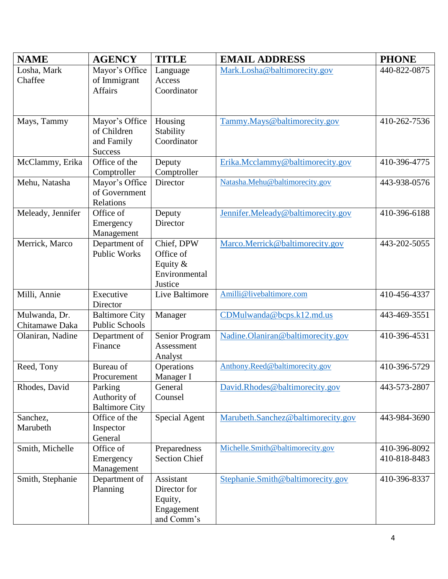| <b>NAME</b>          | <b>AGENCY</b>                   | <b>TITLE</b>          | <b>EMAIL ADDRESS</b>               | <b>PHONE</b> |
|----------------------|---------------------------------|-----------------------|------------------------------------|--------------|
| Losha, Mark          | Mayor's Office                  | Language              | Mark.Losha@baltimorecity.gov       | 440-822-0875 |
| Chaffee              | of Immigrant                    | Access                |                                    |              |
|                      | <b>Affairs</b>                  | Coordinator           |                                    |              |
|                      |                                 |                       |                                    |              |
| Mays, Tammy          | Mayor's Office                  | Housing               | Tammy.Mays@baltimorecity.gov       | 410-262-7536 |
|                      | of Children                     | Stability             |                                    |              |
|                      | and Family                      | Coordinator           |                                    |              |
|                      | <b>Success</b><br>Office of the |                       | Erika.Mcclammy@baltimorecity.gov   | 410-396-4775 |
| McClammy, Erika      | Comptroller                     | Deputy<br>Comptroller |                                    |              |
| Mehu, Natasha        | Mayor's Office                  | Director              | Natasha.Mehu@baltimorecity.gov     | 443-938-0576 |
|                      | of Government                   |                       |                                    |              |
|                      | Relations                       |                       |                                    |              |
| Meleady, Jennifer    | Office of                       | Deputy                | Jennifer.Meleady@baltimorecity.gov | 410-396-6188 |
|                      | Emergency                       | Director              |                                    |              |
| Merrick, Marco       | Management<br>Department of     | Chief, DPW            | Marco.Merrick@baltimorecity.gov    | 443-202-5055 |
|                      | <b>Public Works</b>             | Office of             |                                    |              |
|                      |                                 | Equity $&$            |                                    |              |
|                      |                                 | Environmental         |                                    |              |
|                      |                                 | Justice               |                                    |              |
| Milli, Annie         | Executive<br>Director           | Live Baltimore        | Amilli@livebaltimore.com           | 410-456-4337 |
| Mulwanda, Dr.        | <b>Baltimore City</b>           | Manager               | CDMulwanda@bcps.k12.md.us          | 443-469-3551 |
| Chitamawe Daka       | <b>Public Schools</b>           |                       |                                    |              |
| Olaniran, Nadine     | Department of                   | Senior Program        | Nadine.Olaniran@baltimorecity.gov  | 410-396-4531 |
|                      | Finance                         | Assessment            |                                    |              |
| Reed, Tony           | Bureau of                       | Analyst<br>Operations | Anthony.Reed@baltimorecity.gov     | 410-396-5729 |
|                      | Procurement                     | Manager I             |                                    |              |
| Rhodes, David        | Parking                         | General               | David.Rhodes@baltimorecity.gov     | 443-573-2807 |
|                      | Authority of                    | Counsel               |                                    |              |
|                      | <b>Baltimore City</b>           |                       |                                    |              |
| Sanchez,<br>Marubeth | Office of the                   | <b>Special Agent</b>  | Marubeth.Sanchez@baltimorecity.gov | 443-984-3690 |
|                      | Inspector<br>General            |                       |                                    |              |
| Smith, Michelle      | Office of                       | Preparedness          | Michelle.Smith@baltimorecity.gov   | 410-396-8092 |
|                      | Emergency                       | <b>Section Chief</b>  |                                    | 410-818-8483 |
|                      | Management                      |                       |                                    |              |
| Smith, Stephanie     | Department of                   | Assistant             | Stephanie.Smith@baltimorecity.gov  | 410-396-8337 |
|                      | Planning                        | Director for          |                                    |              |
|                      |                                 | Equity,<br>Engagement |                                    |              |
|                      |                                 | and Comm's            |                                    |              |